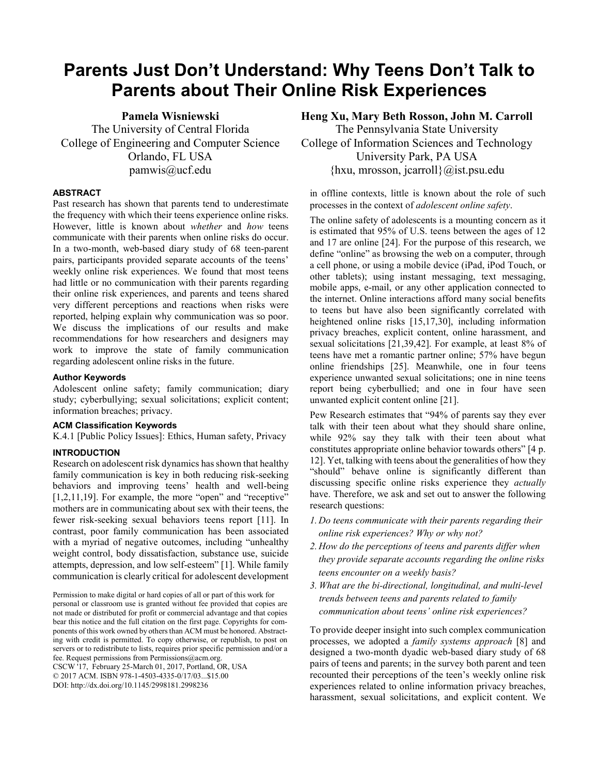# **Parents Just Don't Understand: Why Teens Don't Talk to Parents about Their Online Risk Experiences**

**Pamela Wisniewski** The University of Central Florida College of Engineering and Computer Science Orlando, FL USA pamwis@ucf.edu

## **ABSTRACT**

Past research has shown that parents tend to underestimate the frequency with which their teens experience online risks. However, little is known about *whether* and *how* teens communicate with their parents when online risks do occur. In a two-month, web-based diary study of 68 teen-parent pairs, participants provided separate accounts of the teens' weekly online risk experiences. We found that most teens had little or no communication with their parents regarding their online risk experiences, and parents and teens shared very different perceptions and reactions when risks were reported, helping explain why communication was so poor. We discuss the implications of our results and make recommendations for how researchers and designers may work to improve the state of family communication regarding adolescent online risks in the future.

## **Author Keywords**

Adolescent online safety; family communication; diary study; cyberbullying; sexual solicitations; explicit content; information breaches; privacy.

## **ACM Classification Keywords**

K.4.1 [Public Policy Issues]: Ethics, Human safety, Privacy

## **INTRODUCTION**

Research on adolescent risk dynamics has shown that healthy family communication is key in both reducing risk-seeking behaviors and improving teens' health and well-being  $[1,2,11,19]$ . For example, the more "open" and "receptive" mothers are in communicating about sex with their teens, the fewer risk-seeking sexual behaviors teens report [11]. In contrast, poor family communication has been associated with a myriad of negative outcomes, including "unhealthy weight control, body dissatisfaction, substance use, suicide attempts, depression, and low self-esteem" [1]. While family communication is clearly critical for adolescent development

Permission to make digital or hard copies of all or part of this work for personal or classroom use is granted without fee provided that copies are not made or distributed for profit or commercial advantage and that copies bear this notice and the full citation on the first page. Copyrights for components of this work owned by others than ACM must be honored. Abstracting with credit is permitted. To copy otherwise, or republish, to post on servers or to redistribute to lists, requires prior specific permission and/or a fee. Request permissions from Permissions@acm.org. CSCW '17, February 25-March 01, 2017, Portland, OR, USA © 2017 ACM. ISBN 978-1-4503-4335-0/17/03...\$15.00 DOI: http://dx.doi.org/10.1145/2998181.2998236

## **Heng Xu, Mary Beth Rosson, John M. Carroll**

The Pennsylvania State University College of Information Sciences and Technology University Park, PA USA {hxu, mrosson, jcarroll}@ist.psu.edu

in offline contexts, little is known about the role of such processes in the context of *adolescent online safety*.

The online safety of adolescents is a mounting concern as it is estimated that 95% of U.S. teens between the ages of 12 and 17 are online [24]. For the purpose of this research, we define "online" as browsing the web on a computer, through a cell phone, or using a mobile device (iPad, iPod Touch, or other tablets); using instant messaging, text messaging, mobile apps, e-mail, or any other application connected to the internet. Online interactions afford many social benefits to teens but have also been significantly correlated with heightened online risks [15,17,30], including information privacy breaches, explicit content, online harassment, and sexual solicitations [21,39,42]. For example, at least 8% of teens have met a romantic partner online; 57% have begun online friendships [25]. Meanwhile, one in four teens experience unwanted sexual solicitations; one in nine teens report being cyberbullied; and one in four have seen unwanted explicit content online [21].

Pew Research estimates that "94% of parents say they ever talk with their teen about what they should share online, while 92% say they talk with their teen about what constitutes appropriate online behavior towards others" [4 p. 12]. Yet, talking with teens about the generalities of how they "should" behave online is significantly different than discussing specific online risks experience they *actually* have. Therefore, we ask and set out to answer the following research questions:

- *1. Do teens communicate with their parents regarding their online risk experiences? Why or why not?*
- *2. How do the perceptions of teens and parents differ when they provide separate accounts regarding the online risks teens encounter on a weekly basis?*
- *3. What are the bi-directional, longitudinal, and multi-level trends between teens and parents related to family communication about teens' online risk experiences?*

To provide deeper insight into such complex communication processes, we adopted a *family systems approach* [8] and designed a two-month dyadic web-based diary study of 68 pairs of teens and parents; in the survey both parent and teen recounted their perceptions of the teen's weekly online risk experiences related to online information privacy breaches, harassment, sexual solicitations, and explicit content. We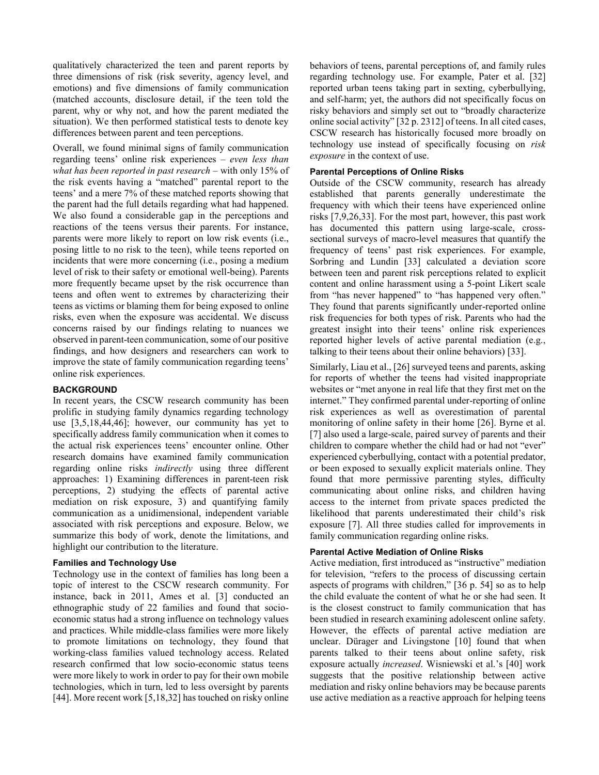qualitatively characterized the teen and parent reports by three dimensions of risk (risk severity, agency level, and emotions) and five dimensions of family communication (matched accounts, disclosure detail, if the teen told the parent, why or why not, and how the parent mediated the situation). We then performed statistical tests to denote key differences between parent and teen perceptions.

Overall, we found minimal signs of family communication regarding teens' online risk experiences – *even less than what has been reported in past research* – with only 15% of the risk events having a "matched" parental report to the teens' and a mere 7% of these matched reports showing that the parent had the full details regarding what had happened. We also found a considerable gap in the perceptions and reactions of the teens versus their parents. For instance, parents were more likely to report on low risk events (i.e., posing little to no risk to the teen), while teens reported on incidents that were more concerning (i.e., posing a medium level of risk to their safety or emotional well-being). Parents more frequently became upset by the risk occurrence than teens and often went to extremes by characterizing their teens as victims or blaming them for being exposed to online risks, even when the exposure was accidental. We discuss concerns raised by our findings relating to nuances we observed in parent-teen communication, some of our positive findings, and how designers and researchers can work to improve the state of family communication regarding teens' online risk experiences.

## **BACKGROUND**

In recent years, the CSCW research community has been prolific in studying family dynamics regarding technology use [3,5,18,44,46]; however, our community has yet to specifically address family communication when it comes to the actual risk experiences teens' encounter online. Other research domains have examined family communication regarding online risks *indirectly* using three different approaches: 1) Examining differences in parent-teen risk perceptions, 2) studying the effects of parental active mediation on risk exposure, 3) and quantifying family communication as a unidimensional, independent variable associated with risk perceptions and exposure. Below, we summarize this body of work, denote the limitations, and highlight our contribution to the literature.

## **Families and Technology Use**

Technology use in the context of families has long been a topic of interest to the CSCW research community. For instance, back in 2011, Ames et al. [3] conducted an ethnographic study of 22 families and found that socioeconomic status had a strong influence on technology values and practices. While middle-class families were more likely to promote limitations on technology, they found that working-class families valued technology access. Related research confirmed that low socio-economic status teens were more likely to work in order to pay for their own mobile technologies, which in turn, led to less oversight by parents [44]. More recent work [5,18,32] has touched on risky online

behaviors of teens, parental perceptions of, and family rules regarding technology use. For example, Pater et al. [32] reported urban teens taking part in sexting, cyberbullying, and self-harm; yet, the authors did not specifically focus on risky behaviors and simply set out to "broadly characterize online social activity" [32 p. 2312] of teens. In all cited cases, CSCW research has historically focused more broadly on technology use instead of specifically focusing on *risk exposure* in the context of use.

## **Parental Perceptions of Online Risks**

Outside of the CSCW community, research has already established that parents generally underestimate the frequency with which their teens have experienced online risks [7,9,26,33]. For the most part, however, this past work has documented this pattern using large-scale, crosssectional surveys of macro-level measures that quantify the frequency of teens' past risk experiences. For example, Sorbring and Lundin [33] calculated a deviation score between teen and parent risk perceptions related to explicit content and online harassment using a 5-point Likert scale from "has never happened" to "has happened very often." They found that parents significantly under-reported online risk frequencies for both types of risk. Parents who had the greatest insight into their teens' online risk experiences reported higher levels of active parental mediation (e.g., talking to their teens about their online behaviors) [33].

Similarly, Liau et al., [26] surveyed teens and parents, asking for reports of whether the teens had visited inappropriate websites or "met anyone in real life that they first met on the internet." They confirmed parental under-reporting of online risk experiences as well as overestimation of parental monitoring of online safety in their home [26]. Byrne et al. [7] also used a large-scale, paired survey of parents and their children to compare whether the child had or had not "ever" experienced cyberbullying, contact with a potential predator, or been exposed to sexually explicit materials online. They found that more permissive parenting styles, difficulty communicating about online risks, and children having access to the internet from private spaces predicted the likelihood that parents underestimated their child's risk exposure [7]. All three studies called for improvements in family communication regarding online risks.

## **Parental Active Mediation of Online Risks**

Active mediation, first introduced as "instructive" mediation for television, "refers to the process of discussing certain aspects of programs with children," [36 p. 54] so as to help the child evaluate the content of what he or she had seen. It is the closest construct to family communication that has been studied in research examining adolescent online safety. However, the effects of parental active mediation are unclear. Dürager and Livingstone [10] found that when parents talked to their teens about online safety, risk exposure actually *increased*. Wisniewski et al.'s [40] work suggests that the positive relationship between active mediation and risky online behaviors may be because parents use active mediation as a reactive approach for helping teens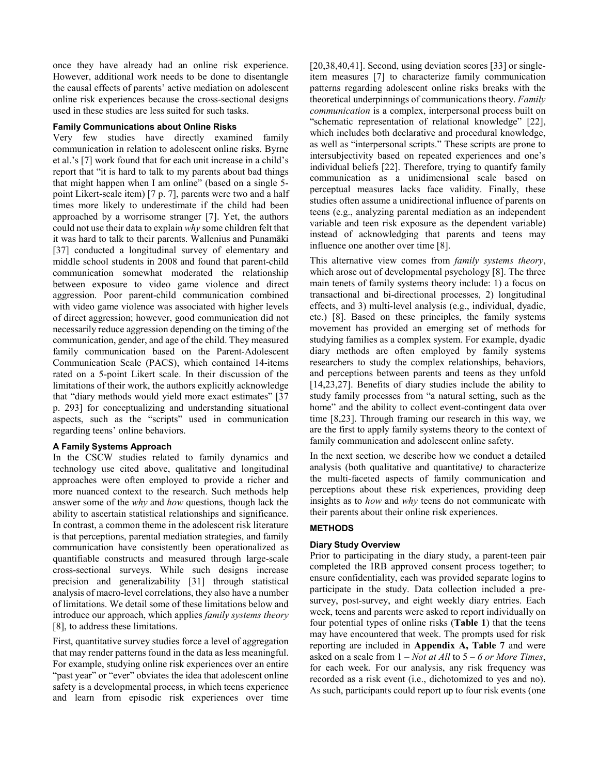once they have already had an online risk experience. However, additional work needs to be done to disentangle the causal effects of parents' active mediation on adolescent online risk experiences because the cross-sectional designs used in these studies are less suited for such tasks.

## **Family Communications about Online Risks**

Very few studies have directly examined family communication in relation to adolescent online risks. Byrne et al.'s [7] work found that for each unit increase in a child's report that "it is hard to talk to my parents about bad things that might happen when I am online" (based on a single 5 point Likert-scale item) [7 p. 7], parents were two and a half times more likely to underestimate if the child had been approached by a worrisome stranger [7]. Yet, the authors could not use their data to explain *why* some children felt that it was hard to talk to their parents. Wallenius and Punamäki [37] conducted a longitudinal survey of elementary and middle school students in 2008 and found that parent-child communication somewhat moderated the relationship between exposure to video game violence and direct aggression. Poor parent-child communication combined with video game violence was associated with higher levels of direct aggression; however, good communication did not necessarily reduce aggression depending on the timing of the communication, gender, and age of the child. They measured family communication based on the Parent-Adolescent Communication Scale (PACS), which contained 14-items rated on a 5-point Likert scale. In their discussion of the limitations of their work, the authors explicitly acknowledge that "diary methods would yield more exact estimates" [37 p. 293] for conceptualizing and understanding situational aspects, such as the "scripts" used in communication regarding teens' online behaviors.

## **A Family Systems Approach**

In the CSCW studies related to family dynamics and technology use cited above, qualitative and longitudinal approaches were often employed to provide a richer and more nuanced context to the research. Such methods help answer some of the *why* and *how* questions, though lack the ability to ascertain statistical relationships and significance. In contrast, a common theme in the adolescent risk literature is that perceptions, parental mediation strategies, and family communication have consistently been operationalized as quantifiable constructs and measured through large-scale cross-sectional surveys. While such designs increase precision and generalizability [31] through statistical analysis of macro-level correlations, they also have a number of limitations. We detail some of these limitations below and introduce our approach, which applies *family systems theory*  [8], to address these limitations.

First, quantitative survey studies force a level of aggregation that may render patterns found in the data as less meaningful. For example, studying online risk experiences over an entire "past year" or "ever" obviates the idea that adolescent online safety is a developmental process, in which teens experience and learn from episodic risk experiences over time

[20,38,40,41]. Second, using deviation scores [33] or singleitem measures [7] to characterize family communication patterns regarding adolescent online risks breaks with the theoretical underpinnings of communications theory. *Family communication* is a complex, interpersonal process built on "schematic representation of relational knowledge" [22], which includes both declarative and procedural knowledge, as well as "interpersonal scripts." These scripts are prone to intersubjectivity based on repeated experiences and one's individual beliefs [22]. Therefore, trying to quantify family communication as a unidimensional scale based on perceptual measures lacks face validity. Finally, these studies often assume a unidirectional influence of parents on teens (e.g., analyzing parental mediation as an independent variable and teen risk exposure as the dependent variable) instead of acknowledging that parents and teens may influence one another over time [8].

This alternative view comes from *family systems theory*, which arose out of developmental psychology [8]. The three main tenets of family systems theory include: 1) a focus on transactional and bi-directional processes, 2) longitudinal effects, and 3) multi-level analysis (e.g., individual, dyadic, etc.) [8]. Based on these principles, the family systems movement has provided an emerging set of methods for studying families as a complex system. For example, dyadic diary methods are often employed by family systems researchers to study the complex relationships, behaviors, and perceptions between parents and teens as they unfold [14,23,27]. Benefits of diary studies include the ability to study family processes from "a natural setting, such as the home" and the ability to collect event-contingent data over time [8,23]. Through framing our research in this way, we are the first to apply family systems theory to the context of family communication and adolescent online safety.

In the next section, we describe how we conduct a detailed analysis (both qualitative and quantitative*)* to characterize the multi-faceted aspects of family communication and perceptions about these risk experiences, providing deep insights as to *how* and *why* teens do not communicate with their parents about their online risk experiences.

## **METHODS**

#### **Diary Study Overview**

Prior to participating in the diary study, a parent-teen pair completed the IRB approved consent process together; to ensure confidentiality, each was provided separate logins to participate in the study. Data collection included a presurvey, post-survey, and eight weekly diary entries. Each week, teens and parents were asked to report individually on four potential types of online risks (**Table 1**) that the teens may have encountered that week. The prompts used for risk reporting are included in **Appendix A, Table 7** and were asked on a scale from 1 – *Not at All* to 5 – *6 or More Times*, for each week. For our analysis, any risk frequency was recorded as a risk event (i.e., dichotomized to yes and no). As such, participants could report up to four risk events (one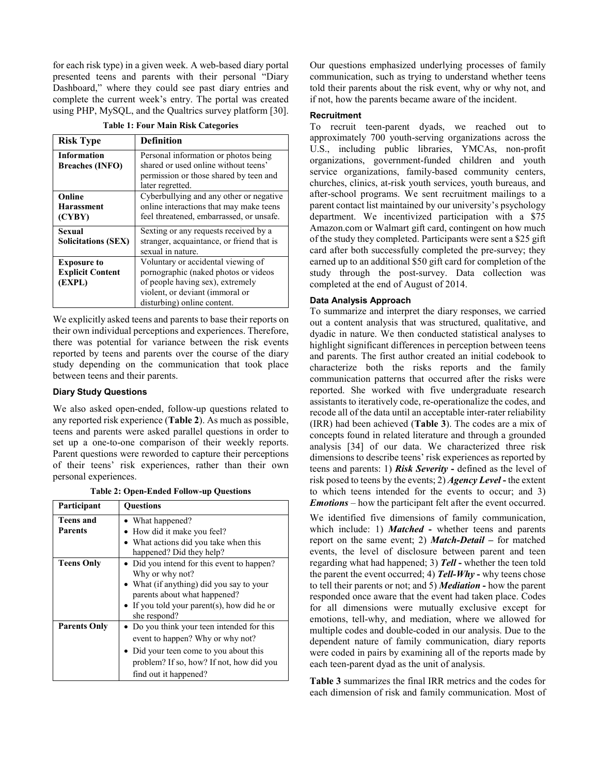for each risk type) in a given week. A web-based diary portal presented teens and parents with their personal "Diary Dashboard," where they could see past diary entries and complete the current week's entry. The portal was created using PHP, MySQL, and the Qualtrics survey platform [30].

**Table 1: Four Main Risk Categories**

| <b>Risk Type</b>                                        | <b>Definition</b>                                                                                                                                                                |
|---------------------------------------------------------|----------------------------------------------------------------------------------------------------------------------------------------------------------------------------------|
| <b>Information</b><br><b>Breaches (INFO)</b>            | Personal information or photos being<br>shared or used online without teens'<br>permission or those shared by teen and<br>later regretted.                                       |
| Online<br><b>Harassment</b><br>(CYBY)                   | Cyberbullying and any other or negative<br>online interactions that may make teens<br>feel threatened, embarrassed, or unsafe.                                                   |
| Sexual<br><b>Solicitations (SEX)</b>                    | Sexting or any requests received by a<br>stranger, acquaintance, or friend that is<br>sexual in nature.                                                                          |
| <b>Exposure to</b><br><b>Explicit Content</b><br>(EXPL) | Voluntary or accidental viewing of<br>pornographic (naked photos or videos<br>of people having sex), extremely<br>violent, or deviant (immoral or<br>disturbing) online content. |

We explicitly asked teens and parents to base their reports on their own individual perceptions and experiences. Therefore, there was potential for variance between the risk events reported by teens and parents over the course of the diary study depending on the communication that took place between teens and their parents.

#### **Diary Study Questions**

We also asked open-ended, follow-up questions related to any reported risk experience (**Table 2**). As much as possible, teens and parents were asked parallel questions in order to set up a one-to-one comparison of their weekly reports. Parent questions were reworded to capture their perceptions of their teens' risk experiences, rather than their own personal experiences.

**Table 2: Open-Ended Follow-up Questions**

| Participant         | <b>Ouestions</b>                            |  |  |  |  |  |
|---------------------|---------------------------------------------|--|--|--|--|--|
| <b>Teens and</b>    | • What happened?                            |  |  |  |  |  |
| <b>Parents</b>      | • How did it make you feel?                 |  |  |  |  |  |
|                     | • What actions did you take when this       |  |  |  |  |  |
|                     | happened? Did they help?                    |  |  |  |  |  |
| <b>Teens Only</b>   | • Did you intend for this event to happen?  |  |  |  |  |  |
|                     | Why or why not?                             |  |  |  |  |  |
|                     | • What (if anything) did you say to your    |  |  |  |  |  |
|                     | parents about what happened?                |  |  |  |  |  |
|                     | • If you told your parent(s), how did he or |  |  |  |  |  |
|                     | she respond?                                |  |  |  |  |  |
| <b>Parents Only</b> | • Do you think your teen intended for this  |  |  |  |  |  |
|                     | event to happen? Why or why not?            |  |  |  |  |  |
|                     | • Did your teen come to you about this      |  |  |  |  |  |
|                     | problem? If so, how? If not, how did you    |  |  |  |  |  |
|                     | find out it happened?                       |  |  |  |  |  |

Our questions emphasized underlying processes of family communication, such as trying to understand whether teens told their parents about the risk event, why or why not, and if not, how the parents became aware of the incident.

#### **Recruitment**

To recruit teen-parent dyads, we reached out to approximately 700 youth-serving organizations across the U.S., including public libraries, YMCAs, non-profit organizations, government-funded children and youth service organizations, family-based community centers, churches, clinics, at-risk youth services, youth bureaus, and after-school programs. We sent recruitment mailings to a parent contact list maintained by our university's psychology department. We incentivized participation with a \$75 Amazon.com or Walmart gift card, contingent on how much of the study they completed. Participants were sent a \$25 gift card after both successfully completed the pre-survey; they earned up to an additional \$50 gift card for completion of the study through the post-survey. Data collection was completed at the end of August of 2014.

#### **Data Analysis Approach**

To summarize and interpret the diary responses, we carried out a content analysis that was structured, qualitative, and dyadic in nature. We then conducted statistical analyses to highlight significant differences in perception between teens and parents. The first author created an initial codebook to characterize both the risks reports and the family communication patterns that occurred after the risks were reported. She worked with five undergraduate research assistants to iteratively code, re-operationalize the codes, and recode all of the data until an acceptable inter-rater reliability (IRR) had been achieved (**Table 3**). The codes are a mix of concepts found in related literature and through a grounded analysis [34] of our data. We characterized three risk dimensions to describe teens' risk experiences as reported by teens and parents: 1) *Risk Severity* **-** defined as the level of risk posed to teens by the events; 2) *Agency Level* **-** the extent to which teens intended for the events to occur; and 3) *Emotions* – how the participant felt after the event occurred.

We identified five dimensions of family communication, which include: 1) *Matched* - whether teens and parents report on the same event; 2) *Match-Detail* **–** for matched events, the level of disclosure between parent and teen regarding what had happened; 3) *Tell* **-** whether the teen told the parent the event occurred; 4) *Tell-Why* **-** why teens chose to tell their parents or not; and 5) *Mediation* **-** how the parent responded once aware that the event had taken place. Codes for all dimensions were mutually exclusive except for emotions, tell-why, and mediation, where we allowed for multiple codes and double-coded in our analysis. Due to the dependent nature of family communication, diary reports were coded in pairs by examining all of the reports made by each teen-parent dyad as the unit of analysis.

**Table 3** summarizes the final IRR metrics and the codes for each dimension of risk and family communication. Most of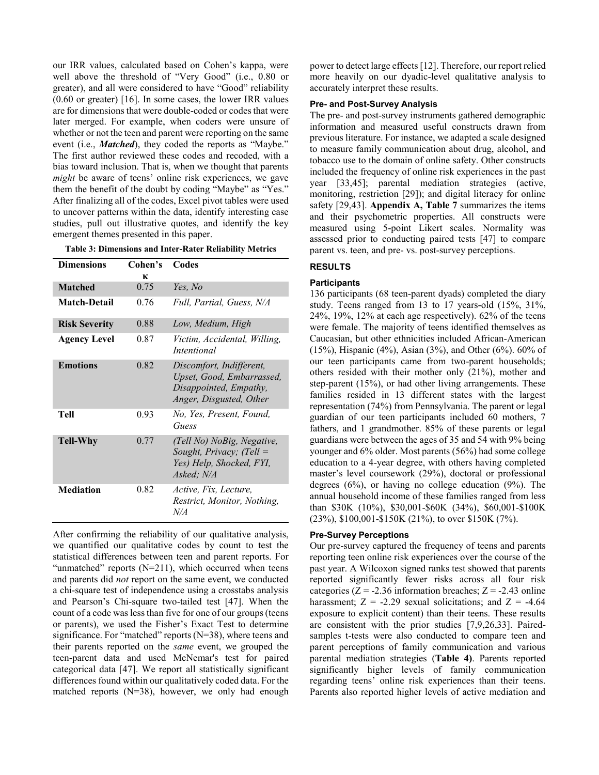our IRR values, calculated based on Cohen's kappa, were well above the threshold of "Very Good" (i.e., 0.80 or greater), and all were considered to have "Good" reliability (0.60 or greater) [16]. In some cases, the lower IRR values are for dimensions that were double-coded or codes that were later merged. For example, when coders were unsure of whether or not the teen and parent were reporting on the same event (i.e., *Matched*), they coded the reports as "Maybe." The first author reviewed these codes and recoded, with a bias toward inclusion. That is, when we thought that parents *might* be aware of teens' online risk experiences, we gave them the benefit of the doubt by coding "Maybe" as "Yes." After finalizing all of the codes, Excel pivot tables were used to uncover patterns within the data, identify interesting case studies, pull out illustrative quotes, and identify the key emergent themes presented in this paper.

| <b>Table 3: Dimensions and Inter-Rater Reliability Metrics</b> |  |  |
|----------------------------------------------------------------|--|--|
|                                                                |  |  |

| <b>Dimensions</b>    | Cohen's<br>к | Codes                                                                                                      |
|----------------------|--------------|------------------------------------------------------------------------------------------------------------|
| <b>Matched</b>       | 0.75         | Yes, No                                                                                                    |
| <b>Match-Detail</b>  | 0.76         | Full, Partial, Guess, N/A                                                                                  |
| <b>Risk Severity</b> | 0.88         | Low, Medium, High                                                                                          |
| <b>Agency Level</b>  | 0.87         | Victim, Accidental, Willing,<br>Intentional                                                                |
| <b>Emotions</b>      | 0.82         | Discomfort, Indifferent,<br>Upset, Good, Embarrassed,<br>Disappointed, Empathy,<br>Anger, Disgusted, Other |
| Tell                 | 0.93         | No. Yes. Present. Found.<br>Guess                                                                          |
| Tell-Why             | 0.77         | (Tell No) NoBig, Negative,<br>Sought, Privacy; (Tell $=$<br>Yes) Help, Shocked, FYI,<br>Asked: N/A         |
| <b>Mediation</b>     | 0.82         | Active, Fix, Lecture,<br>Restrict, Monitor, Nothing,<br>N/A                                                |

After confirming the reliability of our qualitative analysis, we quantified our qualitative codes by count to test the statistical differences between teen and parent reports. For "unmatched" reports  $(N=211)$ , which occurred when teens and parents did *not* report on the same event, we conducted a chi-square test of independence using a crosstabs analysis and Pearson's Chi-square two-tailed test [47]. When the count of a code was less than five for one of our groups (teens or parents), we used the Fisher's Exact Test to determine significance. For "matched" reports (N=38), where teens and their parents reported on the *same* event, we grouped the teen-parent data and used McNemar's test for paired categorical data [47]. We report all statistically significant differences found within our qualitatively coded data. For the matched reports  $(N=38)$ , however, we only had enough power to detect large effects [12]. Therefore, our report relied more heavily on our dyadic-level qualitative analysis to accurately interpret these results.

## **Pre- and Post-Survey Analysis**

The pre- and post-survey instruments gathered demographic information and measured useful constructs drawn from previous literature. For instance, we adapted a scale designed to measure family communication about drug, alcohol, and tobacco use to the domain of online safety. Other constructs included the frequency of online risk experiences in the past year [33,45]; parental mediation strategies (active, monitoring, restriction [29]); and digital literacy for online safety [29,43]. **Appendix A, Table 7** summarizes the items and their psychometric properties. All constructs were measured using 5-point Likert scales. Normality was assessed prior to conducting paired tests [47] to compare parent vs. teen, and pre- vs. post-survey perceptions.

#### **RESULTS**

#### **Participants**

136 participants (68 teen-parent dyads) completed the diary study. Teens ranged from 13 to 17 years-old (15%, 31%, 24%, 19%, 12% at each age respectively). 62% of the teens were female. The majority of teens identified themselves as Caucasian, but other ethnicities included African-American (15%), Hispanic (4%), Asian (3%), and Other (6%). 60% of our teen participants came from two-parent households; others resided with their mother only (21%), mother and step-parent (15%), or had other living arrangements. These families resided in 13 different states with the largest representation (74%) from Pennsylvania. The parent or legal guardian of our teen participants included 60 mothers, 7 fathers, and 1 grandmother. 85% of these parents or legal guardians were between the ages of 35 and 54 with 9% being younger and 6% older. Most parents (56%) had some college education to a 4-year degree, with others having completed master's level coursework (29%), doctoral or professional degrees (6%), or having no college education (9%). The annual household income of these families ranged from less than \$30K (10%), \$30,001-\$60K (34%), \$60,001-\$100K (23%), \$100,001-\$150K (21%), to over \$150K (7%).

#### **Pre-Survey Perceptions**

Our pre-survey captured the frequency of teens and parents reporting teen online risk experiences over the course of the past year. A Wilcoxon signed ranks test showed that parents reported significantly fewer risks across all four risk categories ( $Z = -2.36$  information breaches;  $Z = -2.43$  online harassment;  $Z = -2.29$  sexual solicitations; and  $Z = -4.64$ exposure to explicit content) than their teens. These results are consistent with the prior studies [7,9,26,33]. Pairedsamples t-tests were also conducted to compare teen and parent perceptions of family communication and various parental mediation strategies (**Table 4)**. Parents reported significantly higher levels of family communication regarding teens' online risk experiences than their teens. Parents also reported higher levels of active mediation and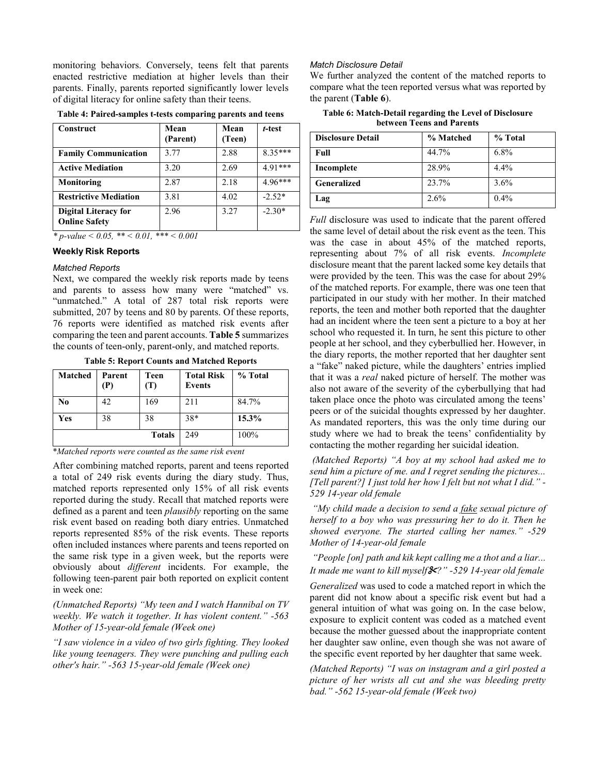monitoring behaviors. Conversely, teens felt that parents enacted restrictive mediation at higher levels than their parents. Finally, parents reported significantly lower levels of digital literacy for online safety than their teens.

| Construct                                           | Mean<br>(Parent) | Mean<br>(Teen) | t-test    |
|-----------------------------------------------------|------------------|----------------|-----------|
| <b>Family Communication</b>                         | 3.77             | 2.88           | $8.35***$ |
| <b>Active Mediation</b>                             | 3.20             | 2.69           | $4.91***$ |
| Monitoring                                          | 2.87             | 2.18           | $4.96***$ |
| <b>Restrictive Mediation</b>                        | 3.81             | 4.02           | $-2.52*$  |
| <b>Digital Literacy for</b><br><b>Online Safety</b> | 2.96             | 3.27           | $-2.30*$  |

|  |  | Table 4: Paired-samples t-tests comparing parents and teens |  |  |
|--|--|-------------------------------------------------------------|--|--|
|  |  |                                                             |  |  |

*\* p-value < 0.05, \*\* < 0.01, \*\*\* < 0.001*

## **Weekly Risk Reports**

#### *Matched Reports*

Next, we compared the weekly risk reports made by teens and parents to assess how many were "matched" vs. "unmatched." A total of 287 total risk reports were submitted, 207 by teens and 80 by parents. Of these reports, 76 reports were identified as matched risk events after comparing the teen and parent accounts. **Table 5** summarizes the counts of teen-only, parent-only, and matched reports.

**Table 5: Report Counts and Matched Reports**

| Matched | Parent<br>(P) | Teen<br>(T)   | <b>Total Risk</b><br><b>Events</b> | % Total |
|---------|---------------|---------------|------------------------------------|---------|
| No      | 42            | 169           | 211                                | 84.7%   |
| Yes     | 38            | 38            | 38*                                | 15.3%   |
|         |               | <b>Totals</b> | 249                                | 100%    |

\**Matched reports were counted as the same risk event*

After combining matched reports, parent and teens reported a total of 249 risk events during the diary study. Thus, matched reports represented only 15% of all risk events reported during the study. Recall that matched reports were defined as a parent and teen *plausibly* reporting on the same risk event based on reading both diary entries. Unmatched reports represented 85% of the risk events. These reports often included instances where parents and teens reported on the same risk type in a given week, but the reports were obviously about *different* incidents. For example, the following teen-parent pair both reported on explicit content in week one:

*(Unmatched Reports) "My teen and I watch Hannibal on TV weekly. We watch it together. It has violent content." -563 Mother of 15-year-old female (Week one)*

*"I saw violence in a video of two girls fighting. They looked like young teenagers. They were punching and pulling each other's hair." -563 15-year-old female (Week one)*

#### *Match Disclosure Detail*

We further analyzed the content of the matched reports to compare what the teen reported versus what was reported by the parent (**Table 6**).

| Table 6: Match-Detail regarding the Level of Disclosure |
|---------------------------------------------------------|
| between Teens and Parents                               |

| <b>Disclosure Detail</b> | % Matched | % Total |
|--------------------------|-----------|---------|
| Full                     | 44.7%     | $6.8\%$ |
| Incomplete               | 28.9%     | $4.4\%$ |
| Generalized              | 23.7%     | $3.6\%$ |
| Lag                      | 2.6%      | $0.4\%$ |

*Full* disclosure was used to indicate that the parent offered the same level of detail about the risk event as the teen. This was the case in about 45% of the matched reports, representing about 7% of all risk events. *Incomplete* disclosure meant that the parent lacked some key details that were provided by the teen. This was the case for about 29% of the matched reports. For example, there was one teen that participated in our study with her mother. In their matched reports, the teen and mother both reported that the daughter had an incident where the teen sent a picture to a boy at her school who requested it. In turn, he sent this picture to other people at her school, and they cyberbullied her. However, in the diary reports, the mother reported that her daughter sent a "fake" naked picture, while the daughters' entries implied that it was a *real* naked picture of herself. The mother was also not aware of the severity of the cyberbullying that had taken place once the photo was circulated among the teens' peers or of the suicidal thoughts expressed by her daughter. As mandated reporters, this was the only time during our study where we had to break the teens' confidentiality by contacting the mother regarding her suicidal ideation.

*(Matched Reports) "A boy at my school had asked me to send him a picture of me. and I regret sending the pictures... [Tell parent?] I just told her how I felt but not what I did." - 529 14-year old female*

*"My child made a decision to send a fake sexual picture of herself to a boy who was pressuring her to do it. Then he showed everyone. The started calling her names." -529 Mother of 14-year-old female*

*"People [on] path and kik kept calling me a thot and a liar... It made me want to kill myself*✂*?" -529 14-year old female*

*Generalized* was used to code a matched report in which the parent did not know about a specific risk event but had a general intuition of what was going on. In the case below, exposure to explicit content was coded as a matched event because the mother guessed about the inappropriate content her daughter saw online, even though she was not aware of the specific event reported by her daughter that same week.

*(Matched Reports) "I was on instagram and a girl posted a picture of her wrists all cut and she was bleeding pretty bad." -562 15-year-old female (Week two)*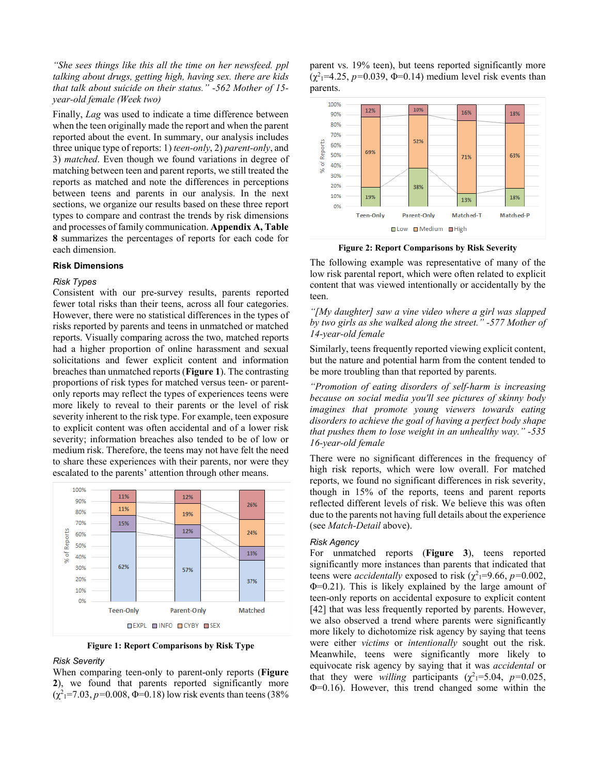*"She sees things like this all the time on her newsfeed. ppl talking about drugs, getting high, having sex. there are kids that talk about suicide on their status." -562 Mother of 15 year-old female (Week two)*

Finally, *Lag* was used to indicate a time difference between when the teen originally made the report and when the parent reported about the event. In summary, our analysis includes three unique type of reports: 1) *teen-only*, 2) *parent-only*, and 3) *matched*. Even though we found variations in degree of matching between teen and parent reports, we still treated the reports as matched and note the differences in perceptions between teens and parents in our analysis. In the next sections, we organize our results based on these three report types to compare and contrast the trends by risk dimensions and processes of family communication. **Appendix A, Table 8** summarizes the percentages of reports for each code for each dimension.

#### **Risk Dimensions**

#### *Risk Types*

Consistent with our pre-survey results, parents reported fewer total risks than their teens, across all four categories. However, there were no statistical differences in the types of risks reported by parents and teens in unmatched or matched reports. Visually comparing across the two, matched reports had a higher proportion of online harassment and sexual solicitations and fewer explicit content and information breaches than unmatched reports (**Figure 1**). The contrasting proportions of risk types for matched versus teen- or parentonly reports may reflect the types of experiences teens were more likely to reveal to their parents or the level of risk severity inherent to the risk type. For example, teen exposure to explicit content was often accidental and of a lower risk severity; information breaches also tended to be of low or medium risk. Therefore, the teens may not have felt the need to share these experiences with their parents, nor were they escalated to the parents' attention through other means.



**Figure 1: Report Comparisons by Risk Type**

### *Risk Severity*

When comparing teen-only to parent-only reports (**Figure 2**), we found that parents reported significantly more  $(\chi^2_1 = 7.03, p = 0.008, \Phi = 0.18)$  low risk events than teens (38%) parent vs. 19% teen), but teens reported significantly more  $(\chi^2) = 4.25, p = 0.039, \Phi = 0.14$  medium level risk events than parents.



**Figure 2: Report Comparisons by Risk Severity**

The following example was representative of many of the low risk parental report, which were often related to explicit content that was viewed intentionally or accidentally by the teen.

*"[My daughter] saw a vine video where a girl was slapped by two girls as she walked along the street." -577 Mother of 14-year-old female*

Similarly, teens frequently reported viewing explicit content, but the nature and potential harm from the content tended to be more troubling than that reported by parents.

*"Promotion of eating disorders of self-harm is increasing because on social media you'll see pictures of skinny body imagines that promote young viewers towards eating disorders to achieve the goal of having a perfect body shape that pushes them to lose weight in an unhealthy way." -535 16-year-old female*

There were no significant differences in the frequency of high risk reports, which were low overall. For matched reports, we found no significant differences in risk severity, though in 15% of the reports, teens and parent reports reflected different levels of risk. We believe this was often due to the parents not having full details about the experience (see *Match-Detail* above).

#### *Risk Agency*

For unmatched reports (**Figure 3**), teens reported significantly more instances than parents that indicated that teens were *accidentally* exposed to risk  $(\chi^2) = 9.66$ ,  $p = 0.002$ , Φ=0.21). This is likely explained by the large amount of teen-only reports on accidental exposure to explicit content [42] that was less frequently reported by parents. However, we also observed a trend where parents were significantly more likely to dichotomize risk agency by saying that teens were either *victims* or *intentionally* sought out the risk. Meanwhile, teens were significantly more likely to equivocate risk agency by saying that it was *accidental* or that they were *willing* participants  $(\chi^2)^2 = 5.04$ ,  $p = 0.025$ , Φ=0.16). However, this trend changed some within the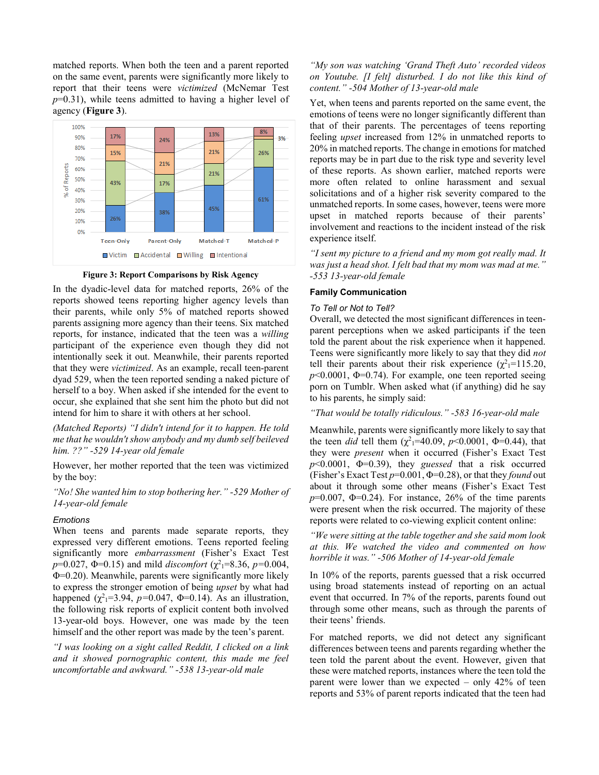matched reports. When both the teen and a parent reported on the same event, parents were significantly more likely to report that their teens were *victimized* (McNemar Test *p*=0.31), while teens admitted to having a higher level of agency (**Figure 3**).



**Figure 3: Report Comparisons by Risk Agency**

In the dyadic-level data for matched reports, 26% of the reports showed teens reporting higher agency levels than their parents, while only 5% of matched reports showed parents assigning more agency than their teens. Six matched reports, for instance, indicated that the teen was a *willing* participant of the experience even though they did not intentionally seek it out. Meanwhile, their parents reported that they were *victimized*. As an example, recall teen-parent dyad 529, when the teen reported sending a naked picture of herself to a boy. When asked if she intended for the event to occur, she explained that she sent him the photo but did not intend for him to share it with others at her school.

*(Matched Reports) "I didn't intend for it to happen. He told me that he wouldn't show anybody and my dumb self beileved him. ??" -529 14-year old female*

However, her mother reported that the teen was victimized by the boy:

## *"No! She wanted him to stop bothering her." -529 Mother of 14-year-old female*

## *Emotions*

When teens and parents made separate reports, they expressed very different emotions. Teens reported feeling significantly more *embarrassment* (Fisher's Exact Test  $p=0.027, \Phi=0.15$ ) and mild *discomfort* ( $\chi^2$ <sub>1</sub>=8.36, *p*=0.004, Φ=0.20). Meanwhile, parents were significantly more likely to express the stronger emotion of being *upset* by what had happened  $(\chi^2) = 3.94$ ,  $p = 0.047$ ,  $\Phi = 0.14$ ). As an illustration, the following risk reports of explicit content both involved 13-year-old boys. However, one was made by the teen himself and the other report was made by the teen's parent.

*"I was looking on a sight called Reddit, I clicked on a link and it showed pornographic content, this made me feel uncomfortable and awkward." -538 13-year-old male* 

## *"My son was watching 'Grand Theft Auto' recorded videos on Youtube. [I felt] disturbed. I do not like this kind of content." -504 Mother of 13-year-old male*

Yet, when teens and parents reported on the same event, the emotions of teens were no longer significantly different than that of their parents. The percentages of teens reporting feeling *upset* increased from 12% in unmatched reports to 20% in matched reports. The change in emotions for matched reports may be in part due to the risk type and severity level of these reports. As shown earlier, matched reports were more often related to online harassment and sexual solicitations and of a higher risk severity compared to the unmatched reports. In some cases, however, teens were more upset in matched reports because of their parents' involvement and reactions to the incident instead of the risk experience itself.

*"I sent my picture to a friend and my mom got really mad. It was just a head shot. I felt bad that my mom was mad at me." -553 13-year-old female* 

#### **Family Communication**

#### *To Tell or Not to Tell?*

Overall, we detected the most significant differences in teenparent perceptions when we asked participants if the teen told the parent about the risk experience when it happened. Teens were significantly more likely to say that they did *not* tell their parents about their risk experience  $(\chi^2)^{1}$ =115.20,  $p$ <0.0001,  $\Phi$ =0.74). For example, one teen reported seeing porn on Tumblr. When asked what (if anything) did he say to his parents, he simply said:

*"That would be totally ridiculous." -583 16-year-old male*

Meanwhile, parents were significantly more likely to say that the teen *did* tell them  $(\chi^2) = 40.09$ ,  $p < 0.0001$ ,  $\Phi = 0.44$ ), that they were *present* when it occurred (Fisher's Exact Test *p*<0.0001, Φ=0.39), they *guessed* that a risk occurred (Fisher's Exact Test *p*=0.001, Φ=0.28), or that they *found* out about it through some other means (Fisher's Exact Test  $p=0.007$ ,  $\Phi=0.24$ ). For instance, 26% of the time parents were present when the risk occurred. The majority of these reports were related to co-viewing explicit content online:

*"We were sitting at the table together and she said mom look at this. We watched the video and commented on how horrible it was." -506 Mother of 14-year-old female*

In 10% of the reports, parents guessed that a risk occurred using broad statements instead of reporting on an actual event that occurred. In 7% of the reports, parents found out through some other means, such as through the parents of their teens' friends.

For matched reports, we did not detect any significant differences between teens and parents regarding whether the teen told the parent about the event. However, given that these were matched reports, instances where the teen told the parent were lower than we expected – only 42% of teen reports and 53% of parent reports indicated that the teen had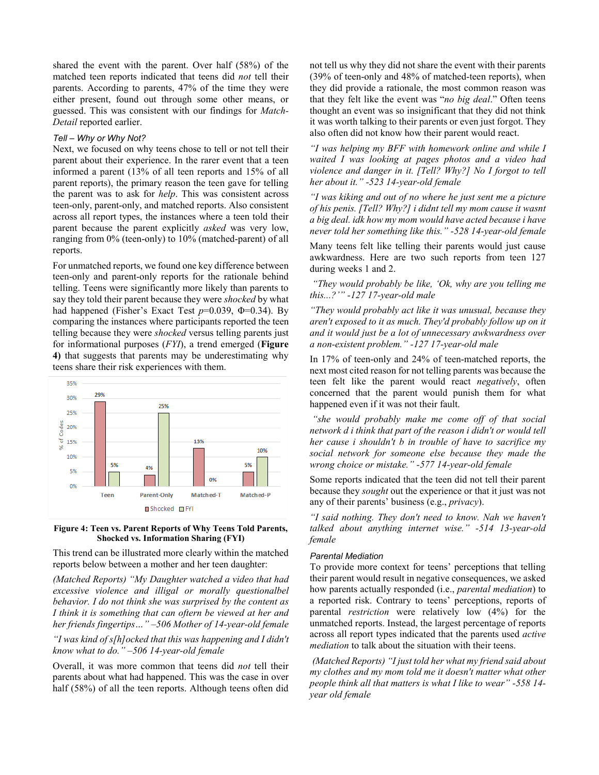shared the event with the parent. Over half (58%) of the matched teen reports indicated that teens did *not* tell their parents. According to parents, 47% of the time they were either present, found out through some other means, or guessed. This was consistent with our findings for *Match-Detail* reported earlier.

## *Tell – Why or Why Not?*

Next, we focused on why teens chose to tell or not tell their parent about their experience. In the rarer event that a teen informed a parent (13% of all teen reports and 15% of all parent reports), the primary reason the teen gave for telling the parent was to ask for *help*. This was consistent across teen-only, parent-only, and matched reports. Also consistent across all report types, the instances where a teen told their parent because the parent explicitly *asked* was very low, ranging from 0% (teen-only) to 10% (matched-parent) of all reports.

For unmatched reports, we found one key difference between teen-only and parent-only reports for the rationale behind telling. Teens were significantly more likely than parents to say they told their parent because they were *shocked* by what had happened (Fisher's Exact Test *p*=0.039, Φ=0.34). By comparing the instances where participants reported the teen telling because they were *shocked* versus telling parents just for informational purposes (*FYI*), a trend emerged (**Figure 4)** that suggests that parents may be underestimating why teens share their risk experiences with them.





This trend can be illustrated more clearly within the matched reports below between a mother and her teen daughter:

*(Matched Reports) "My Daughter watched a video that had excessive violence and illigal or morally questionalbel behavior. I do not think she was surprised by the content as I think it is something that can oftern be viewed at her and her friends fingertips…" –506 Mother of 14-year-old female*

*"I was kind of s[h]ocked that this was happening and I didn't know what to do." –506 14-year-old female*

Overall, it was more common that teens did *not* tell their parents about what had happened. This was the case in over half (58%) of all the teen reports. Although teens often did

not tell us why they did not share the event with their parents (39% of teen-only and 48% of matched-teen reports), when they did provide a rationale, the most common reason was that they felt like the event was "*no big deal*." Often teens thought an event was so insignificant that they did not think it was worth talking to their parents or even just forgot. They also often did not know how their parent would react.

*"I was helping my BFF with homework online and while I waited I was looking at pages photos and a video had violence and danger in it. [Tell? Why?] No I forgot to tell her about it." -523 14-year-old female*

*"I was kiking and out of no where he just sent me a picture of his penis. [Tell? Why?] i didnt tell my mom cause it wasnt a big deal. idk how my mom would have acted because i have never told her something like this." -528 14-year-old female*

Many teens felt like telling their parents would just cause awkwardness. Here are two such reports from teen 127 during weeks 1 and 2.

*"They would probably be like, 'Ok, why are you telling me this...?'" -127 17-year-old male*

*"They would probably act like it was unusual, because they aren't exposed to it as much. They'd probably follow up on it and it would just be a lot of unnecessary awkwardness over a non-existent problem." -127 17-year-old male*

In 17% of teen-only and 24% of teen-matched reports, the next most cited reason for not telling parents was because the teen felt like the parent would react *negatively*, often concerned that the parent would punish them for what happened even if it was not their fault.

*"she would probably make me come off of that social network d i think that part of the reason i didn't or would tell her cause i shouldn't b in trouble of have to sacrifice my social network for someone else because they made the wrong choice or mistake." -577 14-year-old female*

Some reports indicated that the teen did not tell their parent because they *sought* out the experience or that it just was not any of their parents' business (e.g., *privacy*).

*"I said nothing. They don't need to know. Nah we haven't talked about anything internet wise." -514 13-year-old female*

#### *Parental Mediation*

To provide more context for teens' perceptions that telling their parent would result in negative consequences, we asked how parents actually responded (i.e., *parental mediation*) to a reported risk. Contrary to teens' perceptions, reports of parental *restriction* were relatively low (4%) for the unmatched reports. Instead, the largest percentage of reports across all report types indicated that the parents used *active mediation* to talk about the situation with their teens.

*(Matched Reports) "I just told her what my friend said about my clothes and my mom told me it doesn't matter what other people think all that matters is what I like to wear" -558 14 year old female*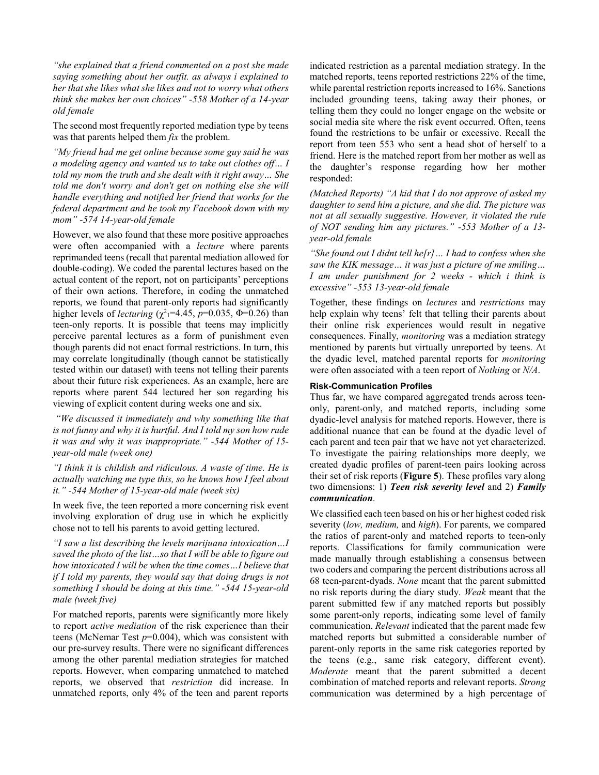*"she explained that a friend commented on a post she made saying something about her outfit. as always i explained to her that she likes what she likes and not to worry what others think she makes her own choices" -558 Mother of a 14-year old female*

The second most frequently reported mediation type by teens was that parents helped them *fix* the problem.

*"My friend had me get online because some guy said he was a modeling agency and wanted us to take out clothes off… I told my mom the truth and she dealt with it right away… She told me don't worry and don't get on nothing else she will handle everything and notified her friend that works for the federal department and he took my Facebook down with my mom" -574 14-year-old female*

However, we also found that these more positive approaches were often accompanied with a *lecture* where parents reprimanded teens (recall that parental mediation allowed for double-coding). We coded the parental lectures based on the actual content of the report, not on participants' perceptions of their own actions. Therefore, in coding the unmatched reports, we found that parent-only reports had significantly higher levels of *lecturing* ( $\chi^2$ <sub>1</sub>=4.45, *p*=0.035,  $\Phi$ =0.26) than teen-only reports. It is possible that teens may implicitly perceive parental lectures as a form of punishment even though parents did not enact formal restrictions. In turn, this may correlate longitudinally (though cannot be statistically tested within our dataset) with teens not telling their parents about their future risk experiences. As an example, here are reports where parent 544 lectured her son regarding his viewing of explicit content during weeks one and six.

*"We discussed it immediately and why something like that is not funny and why it is hurtful. And I told my son how rude it was and why it was inappropriate." -544 Mother of 15 year-old male (week one)*

*"I think it is childish and ridiculous. A waste of time. He is actually watching me type this, so he knows how I feel about it." -544 Mother of 15-year-old male (week six)*

In week five, the teen reported a more concerning risk event involving exploration of drug use in which he explicitly chose not to tell his parents to avoid getting lectured.

*"I saw a list describing the levels marijuana intoxication…I saved the photo of the list…so that I will be able to figure out how intoxicated I will be when the time comes…I believe that if I told my parents, they would say that doing drugs is not something I should be doing at this time." -544 15-year-old male (week five)*

For matched reports, parents were significantly more likely to report *active mediation* of the risk experience than their teens (McNemar Test *p*=0.004), which was consistent with our pre-survey results. There were no significant differences among the other parental mediation strategies for matched reports. However, when comparing unmatched to matched reports, we observed that *restriction* did increase. In unmatched reports, only 4% of the teen and parent reports

indicated restriction as a parental mediation strategy. In the matched reports, teens reported restrictions 22% of the time, while parental restriction reports increased to 16%. Sanctions included grounding teens, taking away their phones, or telling them they could no longer engage on the website or social media site where the risk event occurred. Often, teens found the restrictions to be unfair or excessive. Recall the report from teen 553 who sent a head shot of herself to a friend. Here is the matched report from her mother as well as the daughter's response regarding how her mother responded:

*(Matched Reports) "A kid that I do not approve of asked my daughter to send him a picture, and she did. The picture was not at all sexually suggestive. However, it violated the rule of NOT sending him any pictures." -553 Mother of a 13 year-old female*

*"She found out I didnt tell he[r]… I had to confess when she saw the KIK message… it was just a picture of me smiling… I am under punishment for 2 weeks - which i think is excessive" -553 13-year-old female*

Together, these findings on *lectures* and *restrictions* may help explain why teens' felt that telling their parents about their online risk experiences would result in negative consequences. Finally, *monitoring* was a mediation strategy mentioned by parents but virtually unreported by teens. At the dyadic level, matched parental reports for *monitoring* were often associated with a teen report of *Nothing* or *N/A*.

#### **Risk-Communication Profiles**

Thus far, we have compared aggregated trends across teenonly, parent-only, and matched reports, including some dyadic-level analysis for matched reports. However, there is additional nuance that can be found at the dyadic level of each parent and teen pair that we have not yet characterized. To investigate the pairing relationships more deeply, we created dyadic profiles of parent-teen pairs looking across their set of risk reports (**Figure 5**). These profiles vary along two dimensions: 1) *Teen risk severity level* and 2) *Family communication*.

We classified each teen based on his or her highest coded risk severity (*low, medium,* and *high*). For parents, we compared the ratios of parent-only and matched reports to teen-only reports. Classifications for family communication were made manually through establishing a consensus between two coders and comparing the percent distributions across all 68 teen-parent-dyads. *None* meant that the parent submitted no risk reports during the diary study. *Weak* meant that the parent submitted few if any matched reports but possibly some parent-only reports, indicating some level of family communication. *Relevant* indicated that the parent made few matched reports but submitted a considerable number of parent-only reports in the same risk categories reported by the teens (e.g., same risk category, different event). *Moderate* meant that the parent submitted a decent combination of matched reports and relevant reports. *Strong* communication was determined by a high percentage of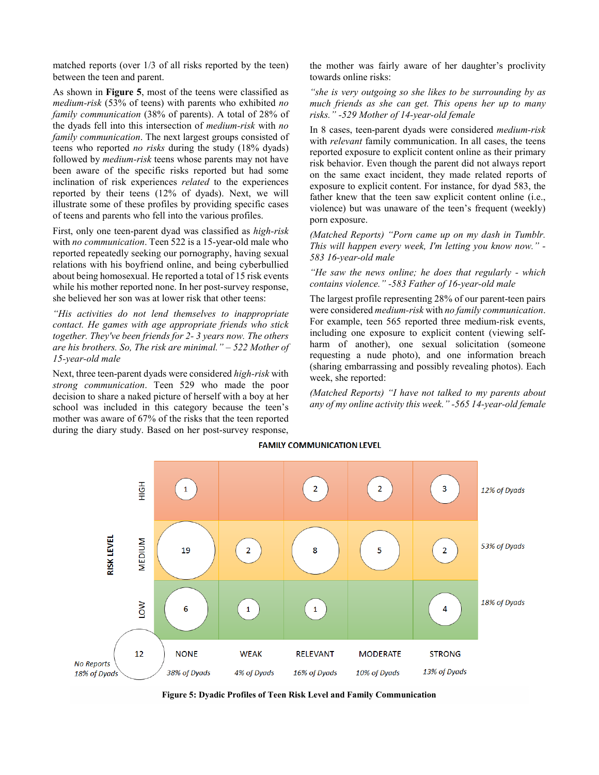matched reports (over 1/3 of all risks reported by the teen) between the teen and parent.

As shown in **Figure 5**, most of the teens were classified as *medium-risk* (53% of teens) with parents who exhibited *no family communication* (38% of parents). A total of 28% of the dyads fell into this intersection of *medium-risk* with *no family communication*. The next largest groups consisted of teens who reported *no risks* during the study (18% dyads) followed by *medium-risk* teens whose parents may not have been aware of the specific risks reported but had some inclination of risk experiences *related* to the experiences reported by their teens (12% of dyads). Next, we will illustrate some of these profiles by providing specific cases of teens and parents who fell into the various profiles.

First, only one teen-parent dyad was classified as *high-risk* with *no communication*. Teen 522 is a 15-year-old male who reported repeatedly seeking our pornography, having sexual relations with his boyfriend online, and being cyberbullied about being homosexual. He reported a total of 15 risk events while his mother reported none. In her post-survey response, she believed her son was at lower risk that other teens:

*"His activities do not lend themselves to inappropriate contact. He games with age appropriate friends who stick together. They've been friends for 2- 3 years now. The others are his brothers. So, The risk are minimal." – 522 Mother of 15-year-old male* 

Next, three teen-parent dyads were considered *high-risk* with *strong communication*. Teen 529 who made the poor decision to share a naked picture of herself with a boy at her school was included in this category because the teen's mother was aware of 67% of the risks that the teen reported during the diary study. Based on her post-survey response,

the mother was fairly aware of her daughter's proclivity towards online risks:

*"she is very outgoing so she likes to be surrounding by as much friends as she can get. This opens her up to many risks." -529 Mother of 14-year-old female*

In 8 cases, teen-parent dyads were considered *medium-risk* with *relevant* family communication. In all cases, the teens reported exposure to explicit content online as their primary risk behavior. Even though the parent did not always report on the same exact incident, they made related reports of exposure to explicit content. For instance, for dyad 583, the father knew that the teen saw explicit content online (i.e., violence) but was unaware of the teen's frequent (weekly) porn exposure.

*(Matched Reports) "Porn came up on my dash in Tumblr. This will happen every week, I'm letting you know now." - 583 16-year-old male*

*"He saw the news online; he does that regularly - which contains violence." -583 Father of 16-year-old male*

The largest profile representing 28% of our parent-teen pairs were considered *medium-risk* with *no family communication*. For example, teen 565 reported three medium-risk events, including one exposure to explicit content (viewing selfharm of another), one sexual solicitation (someone requesting a nude photo), and one information breach (sharing embarrassing and possibly revealing photos). Each week, she reported:

*(Matched Reports) "I have not talked to my parents about any of my online activity this week." -565 14-year-old female*



**FAMILY COMMUNICATION LEVEL** 

**Figure 5: Dyadic Profiles of Teen Risk Level and Family Communication**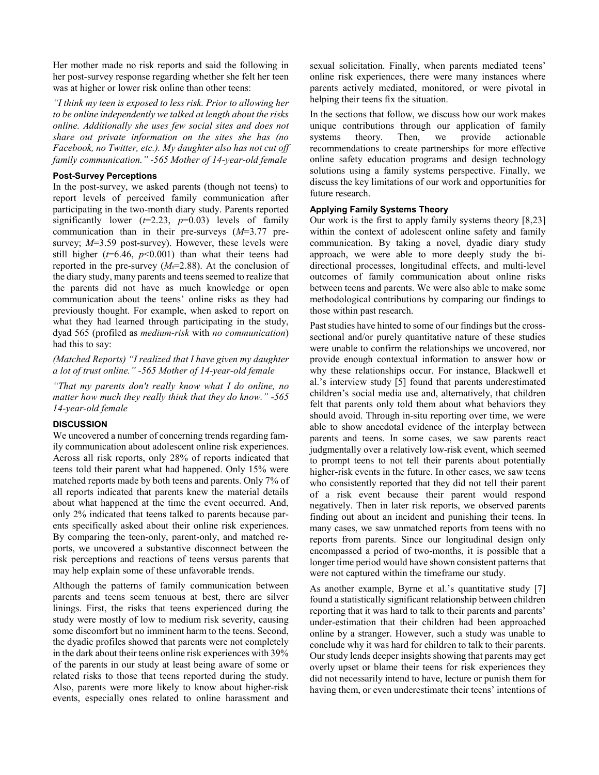Her mother made no risk reports and said the following in her post-survey response regarding whether she felt her teen was at higher or lower risk online than other teens:

*"I think my teen is exposed to less risk. Prior to allowing her to be online independently we talked at length about the risks online. Additionally she uses few social sites and does not share out private information on the sites she has (no Facebook, no Twitter, etc.). My daughter also has not cut off family communication." -565 Mother of 14-year-old female*

#### **Post-Survey Perceptions**

In the post-survey, we asked parents (though not teens) to report levels of perceived family communication after participating in the two-month diary study. Parents reported significantly lower  $(t=2.23, p=0.03)$  levels of family communication than in their pre-surveys (*M*=3.77 presurvey;  $M=3.59$  post-survey). However, these levels were still higher  $(t=6.46, p<0.001)$  than what their teens had reported in the pre-survey  $(M_t=2.88)$ . At the conclusion of the diary study, many parents and teens seemed to realize that the parents did not have as much knowledge or open communication about the teens' online risks as they had previously thought. For example, when asked to report on what they had learned through participating in the study, dyad 565 (profiled as *medium-risk* with *no communication*) had this to say:

*(Matched Reports) "I realized that I have given my daughter a lot of trust online." -565 Mother of 14-year-old female*

*"That my parents don't really know what I do online, no matter how much they really think that they do know." -565 14-year-old female*

## **DISCUSSION**

We uncovered a number of concerning trends regarding family communication about adolescent online risk experiences. Across all risk reports, only 28% of reports indicated that teens told their parent what had happened. Only 15% were matched reports made by both teens and parents. Only 7% of all reports indicated that parents knew the material details about what happened at the time the event occurred. And, only 2% indicated that teens talked to parents because parents specifically asked about their online risk experiences. By comparing the teen-only, parent-only, and matched reports, we uncovered a substantive disconnect between the risk perceptions and reactions of teens versus parents that may help explain some of these unfavorable trends.

Although the patterns of family communication between parents and teens seem tenuous at best, there are silver linings. First, the risks that teens experienced during the study were mostly of low to medium risk severity, causing some discomfort but no imminent harm to the teens. Second, the dyadic profiles showed that parents were not completely in the dark about their teens online risk experiences with 39% of the parents in our study at least being aware of some or related risks to those that teens reported during the study. Also, parents were more likely to know about higher-risk events, especially ones related to online harassment and

sexual solicitation. Finally, when parents mediated teens' online risk experiences, there were many instances where parents actively mediated, monitored, or were pivotal in helping their teens fix the situation.

In the sections that follow, we discuss how our work makes unique contributions through our application of family systems theory. Then, we provide actionable recommendations to create partnerships for more effective online safety education programs and design technology solutions using a family systems perspective. Finally, we discuss the key limitations of our work and opportunities for future research.

## **Applying Family Systems Theory**

Our work is the first to apply family systems theory [8,23] within the context of adolescent online safety and family communication. By taking a novel, dyadic diary study approach, we were able to more deeply study the bidirectional processes, longitudinal effects, and multi-level outcomes of family communication about online risks between teens and parents. We were also able to make some methodological contributions by comparing our findings to those within past research.

Past studies have hinted to some of our findings but the crosssectional and/or purely quantitative nature of these studies were unable to confirm the relationships we uncovered, nor provide enough contextual information to answer how or why these relationships occur. For instance, Blackwell et al.'s interview study [5] found that parents underestimated children's social media use and, alternatively, that children felt that parents only told them about what behaviors they should avoid. Through in-situ reporting over time, we were able to show anecdotal evidence of the interplay between parents and teens. In some cases, we saw parents react judgmentally over a relatively low-risk event, which seemed to prompt teens to not tell their parents about potentially higher-risk events in the future. In other cases, we saw teens who consistently reported that they did not tell their parent of a risk event because their parent would respond negatively. Then in later risk reports, we observed parents finding out about an incident and punishing their teens. In many cases, we saw unmatched reports from teens with no reports from parents. Since our longitudinal design only encompassed a period of two-months, it is possible that a longer time period would have shown consistent patterns that were not captured within the timeframe our study.

As another example, Byrne et al.'s quantitative study [7] found a statistically significant relationship between children reporting that it was hard to talk to their parents and parents' under-estimation that their children had been approached online by a stranger. However, such a study was unable to conclude why it was hard for children to talk to their parents. Our study lends deeper insights showing that parents may get overly upset or blame their teens for risk experiences they did not necessarily intend to have, lecture or punish them for having them, or even underestimate their teens' intentions of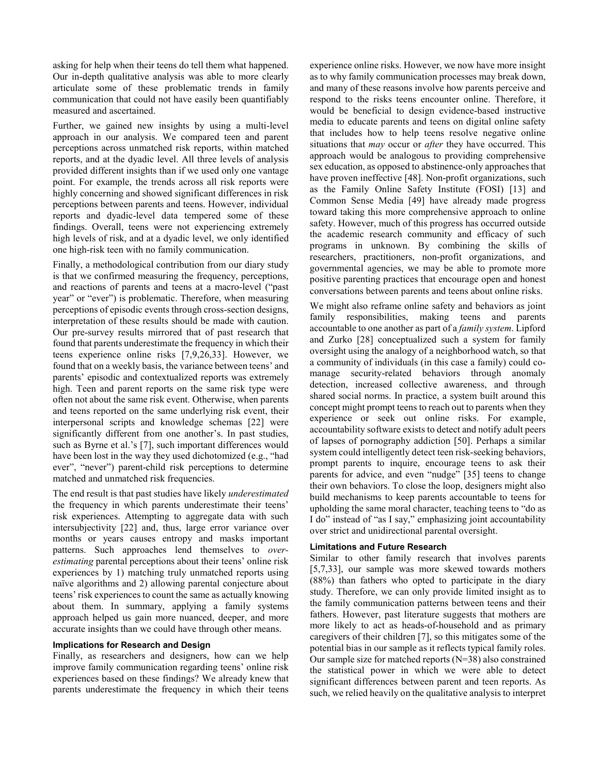asking for help when their teens do tell them what happened. Our in-depth qualitative analysis was able to more clearly articulate some of these problematic trends in family communication that could not have easily been quantifiably measured and ascertained.

Further, we gained new insights by using a multi-level approach in our analysis. We compared teen and parent perceptions across unmatched risk reports, within matched reports, and at the dyadic level. All three levels of analysis provided different insights than if we used only one vantage point. For example, the trends across all risk reports were highly concerning and showed significant differences in risk perceptions between parents and teens. However, individual reports and dyadic-level data tempered some of these findings. Overall, teens were not experiencing extremely high levels of risk, and at a dyadic level, we only identified one high-risk teen with no family communication.

Finally, a methodological contribution from our diary study is that we confirmed measuring the frequency, perceptions, and reactions of parents and teens at a macro-level ("past year" or "ever") is problematic. Therefore, when measuring perceptions of episodic events through cross-section designs, interpretation of these results should be made with caution. Our pre-survey results mirrored that of past research that found that parents underestimate the frequency in which their teens experience online risks [7,9,26,33]. However, we found that on a weekly basis, the variance between teens' and parents' episodic and contextualized reports was extremely high. Teen and parent reports on the same risk type were often not about the same risk event. Otherwise, when parents and teens reported on the same underlying risk event, their interpersonal scripts and knowledge schemas [22] were significantly different from one another's. In past studies, such as Byrne et al.'s [7], such important differences would have been lost in the way they used dichotomized (e.g., "had ever", "never") parent-child risk perceptions to determine matched and unmatched risk frequencies.

The end result is that past studies have likely *underestimated* the frequency in which parents underestimate their teens' risk experiences. Attempting to aggregate data with such intersubjectivity [22] and, thus, large error variance over months or years causes entropy and masks important patterns. Such approaches lend themselves to *overestimating* parental perceptions about their teens' online risk experiences by 1) matching truly unmatched reports using naïve algorithms and 2) allowing parental conjecture about teens' risk experiences to count the same as actually knowing about them. In summary, applying a family systems approach helped us gain more nuanced, deeper, and more accurate insights than we could have through other means.

## **Implications for Research and Design**

Finally, as researchers and designers, how can we help improve family communication regarding teens' online risk experiences based on these findings? We already knew that parents underestimate the frequency in which their teens experience online risks. However, we now have more insight as to why family communication processes may break down, and many of these reasons involve how parents perceive and respond to the risks teens encounter online. Therefore, it would be beneficial to design evidence-based instructive media to educate parents and teens on digital online safety that includes how to help teens resolve negative online situations that *may* occur or *after* they have occurred. This approach would be analogous to providing comprehensive sex education, as opposed to abstinence-only approaches that have proven ineffective [48]. Non-profit organizations, such as the Family Online Safety Institute (FOSI) [13] and Common Sense Media [49] have already made progress toward taking this more comprehensive approach to online safety. However, much of this progress has occurred outside the academic research community and efficacy of such programs in unknown. By combining the skills of researchers, practitioners, non-profit organizations, and governmental agencies, we may be able to promote more positive parenting practices that encourage open and honest conversations between parents and teens about online risks.

We might also reframe online safety and behaviors as joint family responsibilities, making teens and parents accountable to one another as part of a *family system*. Lipford and Zurko [28] conceptualized such a system for family oversight using the analogy of a neighborhood watch, so that a community of individuals (in this case a family) could comanage security-related behaviors through anomaly detection, increased collective awareness, and through shared social norms. In practice, a system built around this concept might prompt teens to reach out to parents when they experience or seek out online risks. For example, accountability software exists to detect and notify adult peers of lapses of pornography addiction [50]. Perhaps a similar system could intelligently detect teen risk-seeking behaviors, prompt parents to inquire, encourage teens to ask their parents for advice, and even "nudge" [35] teens to change their own behaviors. To close the loop, designers might also build mechanisms to keep parents accountable to teens for upholding the same moral character, teaching teens to "do as I do" instead of "as I say," emphasizing joint accountability over strict and unidirectional parental oversight.

## **Limitations and Future Research**

Similar to other family research that involves parents [5,7,33], our sample was more skewed towards mothers (88%) than fathers who opted to participate in the diary study. Therefore, we can only provide limited insight as to the family communication patterns between teens and their fathers. However, past literature suggests that mothers are more likely to act as heads-of-household and as primary caregivers of their children [7], so this mitigates some of the potential bias in our sample as it reflects typical family roles. Our sample size for matched reports (N=38) also constrained the statistical power in which we were able to detect significant differences between parent and teen reports. As such, we relied heavily on the qualitative analysis to interpret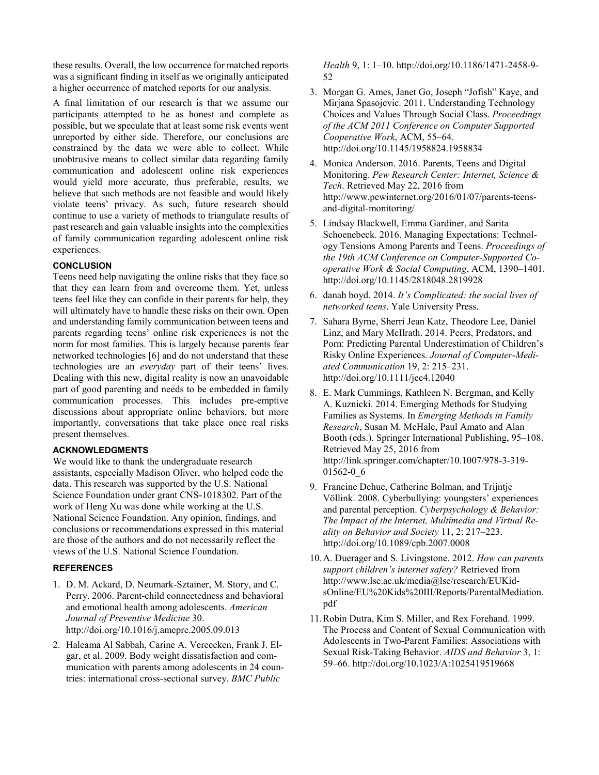these results. Overall, the low occurrence for matched reports was a significant finding in itself as we originally anticipated a higher occurrence of matched reports for our analysis.

A final limitation of our research is that we assume our participants attempted to be as honest and complete as possible, but we speculate that at least some risk events went unreported by either side. Therefore, our conclusions are constrained by the data we were able to collect. While unobtrusive means to collect similar data regarding family communication and adolescent online risk experiences would yield more accurate, thus preferable, results, we believe that such methods are not feasible and would likely violate teens' privacy. As such, future research should continue to use a variety of methods to triangulate results of past research and gain valuable insights into the complexities of family communication regarding adolescent online risk experiences.

## **CONCLUSION**

Teens need help navigating the online risks that they face so that they can learn from and overcome them. Yet, unless teens feel like they can confide in their parents for help, they will ultimately have to handle these risks on their own. Open and understanding family communication between teens and parents regarding teens' online risk experiences is not the norm for most families. This is largely because parents fear networked technologies [6] and do not understand that these technologies are an *everyday* part of their teens' lives. Dealing with this new, digital reality is now an unavoidable part of good parenting and needs to be embedded in family communication processes. This includes pre-emptive discussions about appropriate online behaviors, but more importantly, conversations that take place once real risks present themselves.

## **ACKNOWLEDGMENTS**

We would like to thank the undergraduate research assistants, especially Madison Oliver, who helped code the data. This research was supported by the U.S. National Science Foundation under grant CNS-1018302. Part of the work of Heng Xu was done while working at the U.S. National Science Foundation. Any opinion, findings, and conclusions or recommendations expressed in this material are those of the authors and do not necessarily reflect the views of the U.S. National Science Foundation.

## **REFERENCES**

- 1. D. M. Ackard, D. Neumark-Sztainer, M. Story, and C. Perry. 2006. Parent-child connectedness and behavioral and emotional health among adolescents. *American Journal of Preventive Medicine* 30. http://doi.org/10.1016/j.amepre.2005.09.013
- 2. Haleama Al Sabbah, Carine A. Vereecken, Frank J. Elgar, et al. 2009. Body weight dissatisfaction and communication with parents among adolescents in 24 countries: international cross-sectional survey. *BMC Public*

*Health* 9, 1: 1–10. http://doi.org/10.1186/1471-2458-9- 52

- 3. Morgan G. Ames, Janet Go, Joseph "Jofish" Kaye, and Mirjana Spasojevic. 2011. Understanding Technology Choices and Values Through Social Class. *Proceedings of the ACM 2011 Conference on Computer Supported Cooperative Work*, ACM, 55–64. http://doi.org/10.1145/1958824.1958834
- 4. Monica Anderson. 2016. Parents, Teens and Digital Monitoring. *Pew Research Center: Internet, Science & Tech*. Retrieved May 22, 2016 from http://www.pewinternet.org/2016/01/07/parents-teensand-digital-monitoring/
- 5. Lindsay Blackwell, Emma Gardiner, and Sarita Schoenebeck. 2016. Managing Expectations: Technology Tensions Among Parents and Teens. *Proceedings of the 19th ACM Conference on Computer-Supported Cooperative Work & Social Computing*, ACM, 1390–1401. http://doi.org/10.1145/2818048.2819928
- 6. danah boyd. 2014. *It's Complicated: the social lives of networked teens*. Yale University Press.
- 7. Sahara Byrne, Sherri Jean Katz, Theodore Lee, Daniel Linz, and Mary McIlrath. 2014. Peers, Predators, and Porn: Predicting Parental Underestimation of Children's Risky Online Experiences. *Journal of Computer-Mediated Communication* 19, 2: 215–231. http://doi.org/10.1111/jcc4.12040
- 8. E. Mark Cummings, Kathleen N. Bergman, and Kelly A. Kuznicki. 2014. Emerging Methods for Studying Families as Systems. In *Emerging Methods in Family Research*, Susan M. McHale, Paul Amato and Alan Booth (eds.). Springer International Publishing, 95–108. Retrieved May 25, 2016 from http://link.springer.com/chapter/10.1007/978-3-319- 01562-0\_6
- 9. Francine Dehue, Catherine Bolman, and Trijntje Völlink. 2008. Cyberbullying: youngsters' experiences and parental perception. *Cyberpsychology & Behavior: The Impact of the Internet, Multimedia and Virtual Reality on Behavior and Society* 11, 2: 217–223. http://doi.org/10.1089/cpb.2007.0008
- 10.A. Duerager and S. Livingstone. 2012. *How can parents support children's internet safety?* Retrieved from http://www.lse.ac.uk/media@lse/research/EUKidsOnline/EU%20Kids%20III/Reports/ParentalMediation. pdf
- 11.Robin Dutra, Kim S. Miller, and Rex Forehand. 1999. The Process and Content of Sexual Communication with Adolescents in Two-Parent Families: Associations with Sexual Risk-Taking Behavior. *AIDS and Behavior* 3, 1: 59–66. http://doi.org/10.1023/A:1025419519668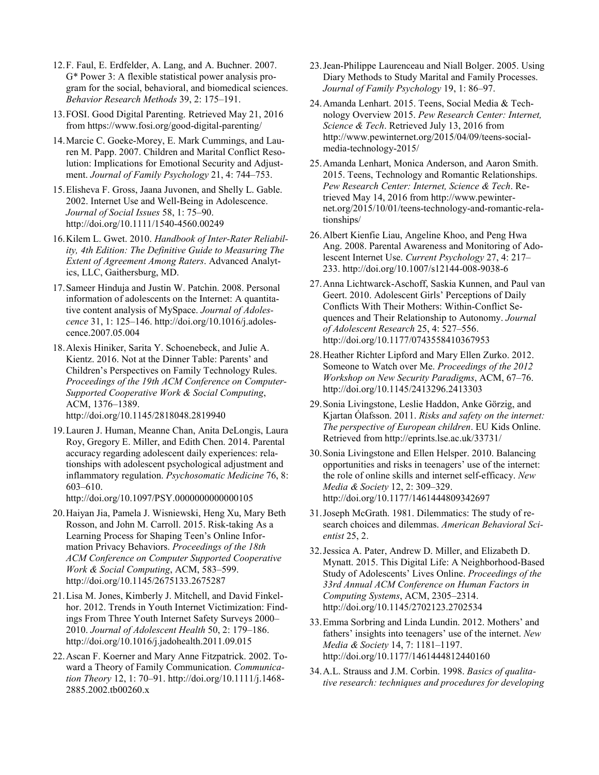- 12.F. Faul, E. Erdfelder, A. Lang, and A. Buchner. 2007. G\* Power 3: A flexible statistical power analysis program for the social, behavioral, and biomedical sciences. *Behavior Research Methods* 39, 2: 175–191.
- 13.FOSI. Good Digital Parenting. Retrieved May 21, 2016 from https://www.fosi.org/good-digital-parenting/
- 14.Marcie C. Goeke-Morey, E. Mark Cummings, and Lauren M. Papp. 2007. Children and Marital Conflict Resolution: Implications for Emotional Security and Adjustment. *Journal of Family Psychology* 21, 4: 744–753.
- 15.Elisheva F. Gross, Jaana Juvonen, and Shelly L. Gable. 2002. Internet Use and Well-Being in Adolescence. *Journal of Social Issues* 58, 1: 75–90. http://doi.org/10.1111/1540-4560.00249
- 16.Kilem L. Gwet. 2010. *Handbook of Inter-Rater Reliability, 4th Edition: The Definitive Guide to Measuring The Extent of Agreement Among Raters*. Advanced Analytics, LLC, Gaithersburg, MD.
- 17.Sameer Hinduja and Justin W. Patchin. 2008. Personal information of adolescents on the Internet: A quantitative content analysis of MySpace. *Journal of Adolescence* 31, 1: 125–146. http://doi.org/10.1016/j.adolescence.2007.05.004
- 18.Alexis Hiniker, Sarita Y. Schoenebeck, and Julie A. Kientz. 2016. Not at the Dinner Table: Parents' and Children's Perspectives on Family Technology Rules. *Proceedings of the 19th ACM Conference on Computer-Supported Cooperative Work & Social Computing*, ACM, 1376–1389. http://doi.org/10.1145/2818048.2819940
- 19.Lauren J. Human, Meanne Chan, Anita DeLongis, Laura Roy, Gregory E. Miller, and Edith Chen. 2014. Parental accuracy regarding adolescent daily experiences: relationships with adolescent psychological adjustment and inflammatory regulation. *Psychosomatic Medicine* 76, 8: 603–610.

http://doi.org/10.1097/PSY.0000000000000105

- 20.Haiyan Jia, Pamela J. Wisniewski, Heng Xu, Mary Beth Rosson, and John M. Carroll. 2015. Risk-taking As a Learning Process for Shaping Teen's Online Information Privacy Behaviors. *Proceedings of the 18th ACM Conference on Computer Supported Cooperative Work & Social Computing*, ACM, 583–599. http://doi.org/10.1145/2675133.2675287
- 21.Lisa M. Jones, Kimberly J. Mitchell, and David Finkelhor. 2012. Trends in Youth Internet Victimization: Findings From Three Youth Internet Safety Surveys 2000– 2010. *Journal of Adolescent Health* 50, 2: 179–186. http://doi.org/10.1016/j.jadohealth.2011.09.015
- 22.Ascan F. Koerner and Mary Anne Fitzpatrick. 2002. Toward a Theory of Family Communication. *Communication Theory* 12, 1: 70–91. http://doi.org/10.1111/j.1468- 2885.2002.tb00260.x
- 23.Jean-Philippe Laurenceau and Niall Bolger. 2005. Using Diary Methods to Study Marital and Family Processes. *Journal of Family Psychology* 19, 1: 86–97.
- 24.Amanda Lenhart. 2015. Teens, Social Media & Technology Overview 2015. *Pew Research Center: Internet, Science & Tech*. Retrieved July 13, 2016 from http://www.pewinternet.org/2015/04/09/teens-socialmedia-technology-2015/
- 25.Amanda Lenhart, Monica Anderson, and Aaron Smith. 2015. Teens, Technology and Romantic Relationships. *Pew Research Center: Internet, Science & Tech*. Retrieved May 14, 2016 from http://www.pewinternet.org/2015/10/01/teens-technology-and-romantic-relationships/
- 26.Albert Kienfie Liau, Angeline Khoo, and Peng Hwa Ang. 2008. Parental Awareness and Monitoring of Adolescent Internet Use. *Current Psychology* 27, 4: 217– 233. http://doi.org/10.1007/s12144-008-9038-6
- 27.Anna Lichtwarck-Aschoff, Saskia Kunnen, and Paul van Geert. 2010. Adolescent Girls' Perceptions of Daily Conflicts With Their Mothers: Within-Conflict Sequences and Their Relationship to Autonomy. *Journal of Adolescent Research* 25, 4: 527–556. http://doi.org/10.1177/0743558410367953
- 28.Heather Richter Lipford and Mary Ellen Zurko. 2012. Someone to Watch over Me. *Proceedings of the 2012 Workshop on New Security Paradigms*, ACM, 67–76. http://doi.org/10.1145/2413296.2413303
- 29.Sonia Livingstone, Leslie Haddon, Anke Görzig, and Kjartan Ólafsson. 2011. *Risks and safety on the internet: The perspective of European children*. EU Kids Online. Retrieved from http://eprints.lse.ac.uk/33731/
- 30.Sonia Livingstone and Ellen Helsper. 2010. Balancing opportunities and risks in teenagers' use of the internet: the role of online skills and internet self-efficacy. *New Media & Society* 12, 2: 309–329. http://doi.org/10.1177/1461444809342697
- 31.Joseph McGrath. 1981. Dilemmatics: The study of research choices and dilemmas. *American Behavioral Scientist* 25, 2.
- 32.Jessica A. Pater, Andrew D. Miller, and Elizabeth D. Mynatt. 2015. This Digital Life: A Neighborhood-Based Study of Adolescents' Lives Online. *Proceedings of the 33rd Annual ACM Conference on Human Factors in Computing Systems*, ACM, 2305–2314. http://doi.org/10.1145/2702123.2702534
- 33.Emma Sorbring and Linda Lundin. 2012. Mothers' and fathers' insights into teenagers' use of the internet. *New Media & Society* 14, 7: 1181–1197. http://doi.org/10.1177/1461444812440160
- 34.A.L. Strauss and J.M. Corbin. 1998. *Basics of qualitative research: techniques and procedures for developing*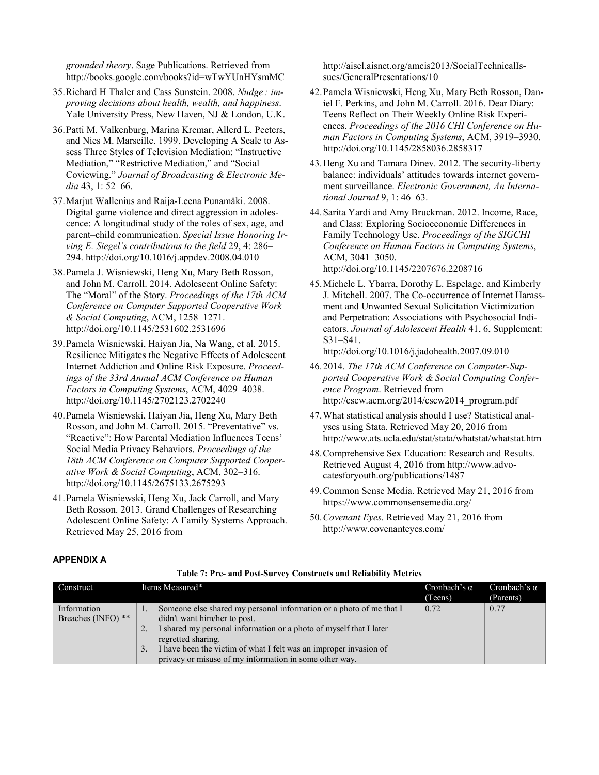*grounded theory*. Sage Publications. Retrieved from http://books.google.com/books?id=wTwYUnHYsmMC

- 35.Richard H Thaler and Cass Sunstein. 2008. *Nudge : improving decisions about health, wealth, and happiness*. Yale University Press, New Haven, NJ & London, U.K.
- 36.Patti M. Valkenburg, Marina Krcmar, Allerd L. Peeters, and Nies M. Marseille. 1999. Developing A Scale to Assess Three Styles of Television Mediation: "Instructive Mediation," "Restrictive Mediation," and "Social Coviewing." *Journal of Broadcasting & Electronic Media* 43, 1: 52–66.
- 37.Marjut Wallenius and Raija-Leena Punamäki. 2008. Digital game violence and direct aggression in adolescence: A longitudinal study of the roles of sex, age, and parent–child communication. *Special Issue Honoring Irving E. Siegel's contributions to the field* 29, 4: 286– 294. http://doi.org/10.1016/j.appdev.2008.04.010
- 38.Pamela J. Wisniewski, Heng Xu, Mary Beth Rosson, and John M. Carroll. 2014. Adolescent Online Safety: The "Moral" of the Story. *Proceedings of the 17th ACM Conference on Computer Supported Cooperative Work & Social Computing*, ACM, 1258–1271. http://doi.org/10.1145/2531602.2531696
- 39.Pamela Wisniewski, Haiyan Jia, Na Wang, et al. 2015. Resilience Mitigates the Negative Effects of Adolescent Internet Addiction and Online Risk Exposure. *Proceedings of the 33rd Annual ACM Conference on Human Factors in Computing Systems*, ACM, 4029–4038. http://doi.org/10.1145/2702123.2702240
- 40.Pamela Wisniewski, Haiyan Jia, Heng Xu, Mary Beth Rosson, and John M. Carroll. 2015. "Preventative" vs. "Reactive": How Parental Mediation Influences Teens' Social Media Privacy Behaviors. *Proceedings of the 18th ACM Conference on Computer Supported Cooperative Work & Social Computing*, ACM, 302–316. http://doi.org/10.1145/2675133.2675293
- 41.Pamela Wisniewski, Heng Xu, Jack Carroll, and Mary Beth Rosson. 2013. Grand Challenges of Researching Adolescent Online Safety: A Family Systems Approach. Retrieved May 25, 2016 from

http://aisel.aisnet.org/amcis2013/SocialTechnicalIssues/GeneralPresentations/10

- 42.Pamela Wisniewski, Heng Xu, Mary Beth Rosson, Daniel F. Perkins, and John M. Carroll. 2016. Dear Diary: Teens Reflect on Their Weekly Online Risk Experiences. *Proceedings of the 2016 CHI Conference on Human Factors in Computing Systems*, ACM, 3919–3930. http://doi.org/10.1145/2858036.2858317
- 43.Heng Xu and Tamara Dinev. 2012. The security-liberty balance: individuals' attitudes towards internet government surveillance. *Electronic Government, An International Journal* 9, 1: 46–63.
- 44.Sarita Yardi and Amy Bruckman. 2012. Income, Race, and Class: Exploring Socioeconomic Differences in Family Technology Use. *Proceedings of the SIGCHI Conference on Human Factors in Computing Systems*, ACM, 3041–3050. http://doi.org/10.1145/2207676.2208716
- 45.Michele L. Ybarra, Dorothy L. Espelage, and Kimberly J. Mitchell. 2007. The Co-occurrence of Internet Harassment and Unwanted Sexual Solicitation Victimization and Perpetration: Associations with Psychosocial Indicators. *Journal of Adolescent Health* 41, 6, Supplement: S31–S41.

http://doi.org/10.1016/j.jadohealth.2007.09.010

- 46.2014. *The 17th ACM Conference on Computer-Supported Cooperative Work & Social Computing Conference Program*. Retrieved from http://cscw.acm.org/2014/cscw2014\_program.pdf
- 47.What statistical analysis should I use? Statistical analyses using Stata. Retrieved May 20, 2016 from http://www.ats.ucla.edu/stat/stata/whatstat/whatstat.htm
- 48.Comprehensive Sex Education: Research and Results. Retrieved August 4, 2016 from http://www.advocatesforyouth.org/publications/1487
- 49.Common Sense Media. Retrieved May 21, 2016 from https://www.commonsensemedia.org/
- 50.*Covenant Eyes*. Retrieved May 21, 2016 from http://www.covenanteyes.com/

## **APPENDIX A**

| Construct          | Items Measured*                                                          | Cronbach's $\alpha$ | Cronbach's $\alpha$ |
|--------------------|--------------------------------------------------------------------------|---------------------|---------------------|
|                    |                                                                          | (Teens)             | (Parents)           |
| Information        | Someone else shared my personal information or a photo of me that I      | 0.72                | 0.77                |
| Breaches (INFO) ** | didn't want him/her to post.                                             |                     |                     |
|                    | I shared my personal information or a photo of myself that I later<br>2. |                     |                     |
|                    | regretted sharing.                                                       |                     |                     |
|                    | I have been the victim of what I felt was an improper invasion of<br>3.  |                     |                     |
|                    | privacy or misuse of my information in some other way.                   |                     |                     |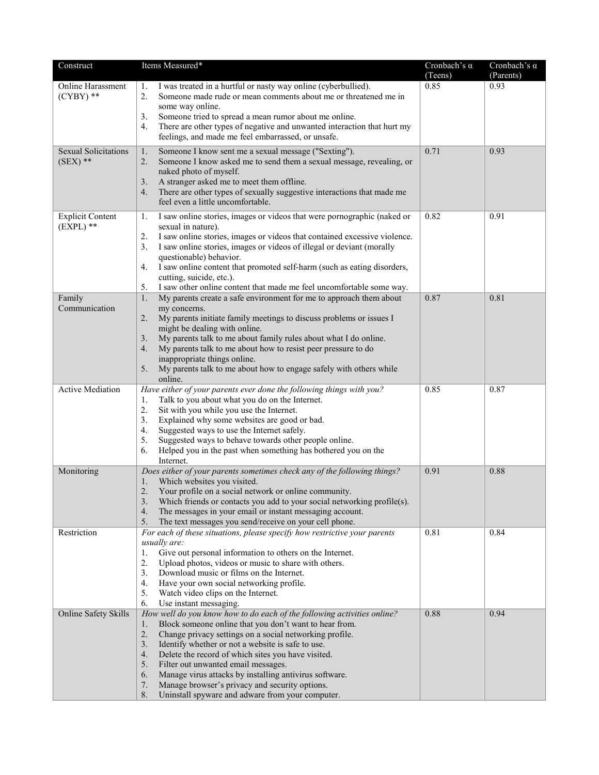| Construct                                 | Items Measured*                                                                                                                                                                                                                                                                                                                                                                                                                                                                                                                                                | Cronbach's $\alpha$<br>(Teens) | Cronbach's $\alpha$<br>(Parents) |
|-------------------------------------------|----------------------------------------------------------------------------------------------------------------------------------------------------------------------------------------------------------------------------------------------------------------------------------------------------------------------------------------------------------------------------------------------------------------------------------------------------------------------------------------------------------------------------------------------------------------|--------------------------------|----------------------------------|
| Online Harassment<br>$(CYBY)$ **          | I was treated in a hurtful or nasty way online (cyberbullied).<br>1.<br>2.<br>Someone made rude or mean comments about me or threatened me in<br>some way online.<br>3.<br>Someone tried to spread a mean rumor about me online.<br>4.<br>There are other types of negative and unwanted interaction that hurt my<br>feelings, and made me feel embarrassed, or unsafe.                                                                                                                                                                                        | 0.85                           | 0.93                             |
| <b>Sexual Solicitations</b><br>$(SEX)$ ** | 1.<br>Someone I know sent me a sexual message ("Sexting").<br>2.<br>Someone I know asked me to send them a sexual message, revealing, or<br>naked photo of myself.<br>3.<br>A stranger asked me to meet them offline.<br>There are other types of sexually suggestive interactions that made me<br>4.<br>feel even a little uncomfortable.                                                                                                                                                                                                                     | 0.71                           | 0.93                             |
| <b>Explicit Content</b><br>$(EXPL)$ **    | I saw online stories, images or videos that were pornographic (naked or<br>1.<br>sexual in nature).<br>2.<br>I saw online stories, images or videos that contained excessive violence.<br>3.<br>I saw online stories, images or videos of illegal or deviant (morally<br>questionable) behavior.<br>I saw online content that promoted self-harm (such as eating disorders,<br>4.<br>cutting, suicide, etc.).<br>5.<br>I saw other online content that made me feel uncomfortable some way.                                                                    | 0.82                           | 0.91                             |
| Family<br>Communication                   | 1.<br>My parents create a safe environment for me to approach them about<br>my concerns.<br>2.<br>My parents initiate family meetings to discuss problems or issues I<br>might be dealing with online.<br>My parents talk to me about family rules about what I do online.<br>3.<br>My parents talk to me about how to resist peer pressure to do<br>4.<br>inappropriate things online.<br>My parents talk to me about how to engage safely with others while<br>5.<br>online.                                                                                 | 0.87                           | 0.81                             |
| <b>Active Mediation</b>                   | Have either of your parents ever done the following things with you?<br>Talk to you about what you do on the Internet.<br>1.<br>2.<br>Sit with you while you use the Internet.<br>3.<br>Explained why some websites are good or bad.<br>Suggested ways to use the Internet safely.<br>4.<br>Suggested ways to behave towards other people online.<br>5.<br>Helped you in the past when something has bothered you on the<br>6.<br>Internet.                                                                                                                    | 0.85                           | 0.87                             |
| Monitoring                                | Does either of your parents sometimes check any of the following things?<br>Which websites you visited.<br>1.<br>2.<br>Your profile on a social network or online community.<br>3.<br>Which friends or contacts you add to your social networking profile(s).<br>4.<br>The messages in your email or instant messaging account.<br>5.<br>The text messages you send/receive on your cell phone.                                                                                                                                                                | 0.91                           | 0.88                             |
| Restriction                               | For each of these situations, please specify how restrictive your parents<br>usually are:<br>Give out personal information to others on the Internet.<br>1.<br>2.<br>Upload photos, videos or music to share with others.<br>3.<br>Download music or films on the Internet.<br>4.<br>Have your own social networking profile.<br>5.<br>Watch video clips on the Internet.<br>6.<br>Use instant messaging.                                                                                                                                                      | 0.81                           | 0.84                             |
| Online Safety Skills                      | How well do you know how to do each of the following activities online?<br>Block someone online that you don't want to hear from.<br>1.<br>2.<br>Change privacy settings on a social networking profile.<br>3.<br>Identify whether or not a website is safe to use.<br>4.<br>Delete the record of which sites you have visited.<br>5.<br>Filter out unwanted email messages.<br>Manage virus attacks by installing antivirus software.<br>6.<br>7.<br>Manage browser's privacy and security options.<br>8.<br>Uninstall spyware and adware from your computer. | 0.88                           | 0.94                             |